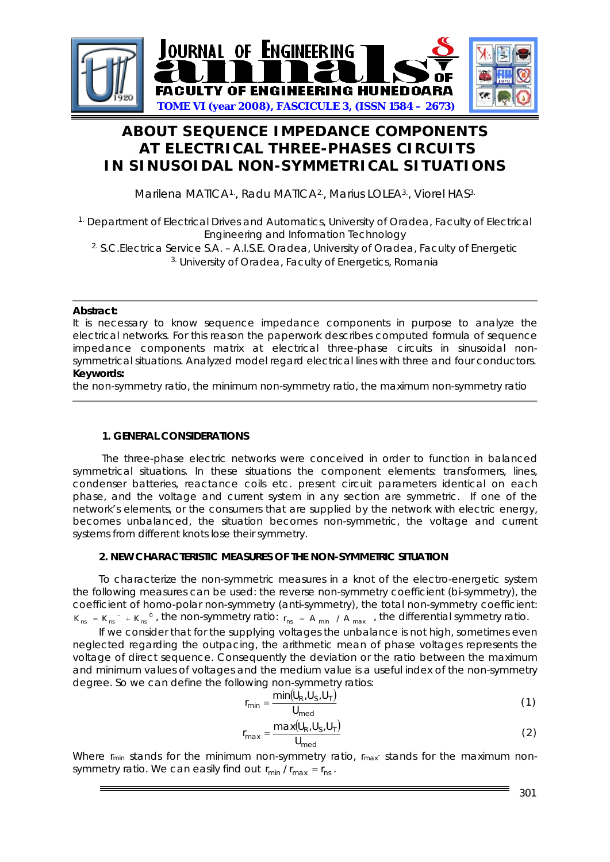

# **ABOUT SEQUENCE IMPEDANCE COMPONENTS AT ELECTRICAL THREE-PHASES CIRCUITS IN SINUSOIDAL NON-SYMMETRICAL SITUATIONS**

Marilena MATICA<sup>1</sup>, Radu MATICA<sup>2</sup>, Marius LOLEA<sup>3</sup>, Viorel HAS<sup>3.</sup>

<sup>1.</sup> Department of Electrical Drives and Automatics, University of Oradea, Faculty of Electrical Engineering and Information Technology

2. S.C.Electrica Service S.A. – A.I.S.E. Oradea, University of Oradea, Faculty of Energetic 3. University of Oradea, Faculty of Energetics, Romania

### **Abstract:**

It is necessary to know sequence impedance components in purpose to analyze the electrical networks. For this reason the paperwork describes computed formula of sequence impedance components matrix at electrical three-phase circuits in sinusoidal nonsymmetrical situations. Analyzed model regard electrical lines with three and four conductors. **Keywords:**

the non-symmetry ratio, the minimum non-symmetry ratio, the maximum non-symmetry ratio

## **1. GENERAL CONSIDERATIONS**

The three-phase electric networks were conceived in order to function in balanced symmetrical situations. In these situations the component elements: transformers, lines, condenser batteries, reactance coils etc. present circuit parameters identical on each phase, and the voltage and current system in any section are symmetric. If one of the network's elements, or the consumers that are supplied by the network with electric energy, becomes unbalanced, the situation becomes non-symmetric, the voltage and current systems from different knots lose their symmetry.

## **2. NEW CHARACTERISTIC MEASURES OF THE NON-SYMMETRIC SITUATION**

To characterize the non-symmetric measures in a knot of the electro-energetic system the following measures can be used: the reverse non-symmetry coefficient (bi-symmetry), the coefficient of homo-polar non-symmetry (anti-symmetry), the total non-symmetry coefficient:  $K_{ns} = K_{ns}^{-} + K_{ns}^{-0}$ , the non-symmetry ratio:  $r_{ns} = A_{min} / A_{max}$ , the differential symmetry ratio.

If we consider that for the supplying voltages the unbalance is not high, sometimes even neglected regarding the outpacing, the arithmetic mean of phase voltages represents the voltage of direct sequence. Consequently the deviation or the ratio between the maximum and minimum values of voltages and the medium value is a useful index of the non-symmetry degree. So we can define the following non-symmetry ratios:

$$
r_{\min} = \frac{\min(U_R, U_S, U_T)}{U_{\text{med}}}
$$
 (1)

$$
r_{\text{max}} = \frac{\max(U_R, U_S, U_T)}{U_{\text{med}}}
$$
 (2)

Where  $r_{min}$  stands for the minimum non-symmetry ratio,  $r_{max}$  stands for the maximum nonsymmetry ratio. We can easily find out  $r_{min} / r_{max} = r_{ns}$ .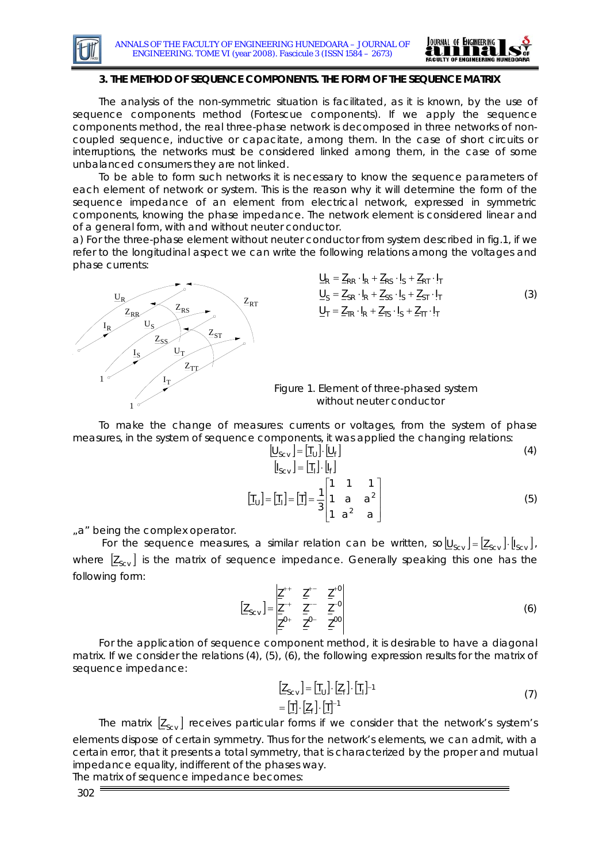



#### **3. THE METHOD OF SEQUENCE COMPONENTS. THE FORM OF THE SEQUENCE MATRIX**

The analysis of the non-symmetric situation is facilitated, as it is known, by the use of sequence components method (Fortescue components). If we apply the sequence components method, the real three-phase network is decomposed in three networks of noncoupled sequence, inductive or capacitate, among them. In the case of short circuits or interruptions, the networks must be considered linked among them, in the case of some unbalanced consumers they are not linked.

To be able to form such networks it is necessary to know the sequence parameters of each element of network or system. This is the reason why it will determine the form of the sequence impedance of an element from electrical network, expressed in symmetric components, knowing the phase impedance. The network element is considered linear and of a general form, with and without neuter conductor.

a) For the three-phase element without neuter conductor from system described in fig.1, if we refer to the longitudinal aspect we can write the following relations among the voltages and phase currents:



$$
\underline{U}_{R} = \underline{Z}_{RR} \cdot I_{R} + \underline{Z}_{RS} \cdot I_{S} + \underline{Z}_{RT} \cdot I_{T}
$$
\n
$$
\underline{U}_{S} = \underline{Z}_{SR} \cdot I_{R} + \underline{Z}_{SS} \cdot I_{S} + \underline{Z}_{ST} \cdot I_{T}
$$
\n
$$
\underline{U}_{T} = \underline{Z}_{TR} \cdot I_{R} + \underline{Z}_{TS} \cdot I_{S} + \underline{Z}_{TT} \cdot I_{T}
$$
\n(3)

 Figure 1. Element of three-phased system without neuter conductor

To make the change of measures: currents or voltages, from the system of phase measures, in the system of sequence components, it was applied the changing relations:

$$
\begin{bmatrix}\n\underline{U}_{SCV} \\
\vdots \\
\underline{U}_{SCV}\n\end{bmatrix} = \begin{bmatrix}\n\underline{U}_1\n\end{bmatrix} \cdot \begin{bmatrix}\n\underline{U}_f\n\end{bmatrix}
$$
\n(4)

 $| T_{11} | = | T_1 | = | T |$ ⎥ ⎥ ⎥  $\overline{\phantom{a}}$ ⎢  $\mathsf I$  $\mathsf I$ ⎣  $=|\mathbb{I}_{\mathsf{L}}|=|\mathbb{I}|=$  $1a^2$  a 1 a a  $\begin{bmatrix} \overline{I}_{\cup} \end{bmatrix} = \begin{bmatrix} \overline{I}_{\cup} \end{bmatrix} = \begin{bmatrix} \overline{I} \end{bmatrix} = \frac{1}{3}$ 2  $\begin{bmatrix} 1 \\ 0 \end{bmatrix} = \begin{bmatrix} 1 \\ 0 \end{bmatrix} = \frac{1}{2} \begin{vmatrix} 1 & a & a^2 \end{vmatrix}$  (5)

"a" being the complex operator.

For the sequence measures, a similar relation can be written, so $[\underline{U}_{s_{cv}}] = [\underline{Z}_{s_{cv}}] \cdot [\underline{I}_{s_{cv}}]$ , where  $[\underline{Z}_{s_{\text{cv}}} ]$  is the matrix of sequence impedance. Generally speaking this one has the following form:

$$
\left[\underline{Z}_{SCV}\right] = \frac{\left|\underline{Z}^{++} \quad \underline{Z}^{+-} \quad \underline{Z}^{+0}\right|}{\underline{Z}^{0+} \quad \underline{Z}^{0-} \quad \underline{Z}^{00}}
$$
\n(6)

For the application of sequence component method, it is desirable to have a diagonal matrix. If we consider the relations (4), (5), (6), the following expression results for the matrix of sequence impedance:

$$
\begin{aligned} \left[\underline{Z}_{\text{SCV}}\right] &= \left[\underline{T}_{\text{U}}\right] \cdot \left[\underline{Z}_{\text{f}}\right] \cdot \left[\underline{T}_{\text{I}}\right]^{-1} \\ &= \left[\underline{T}\right] \cdot \left[\underline{Z}_{\text{f}}\right] \cdot \left[\underline{T}\right]^{-1} \end{aligned} \tag{7}
$$

The matrix  $[\underline{Z}_{\text{scat}}]$  receives particular forms if we consider that the network's system's elements dispose of certain symmetry. Thus for the network's elements, we can admit, with a certain error, that it presents a total symmetry, that is characterized by the proper and mutual impedance equality, indifferent of the phases way.

The matrix of sequence impedance becomes: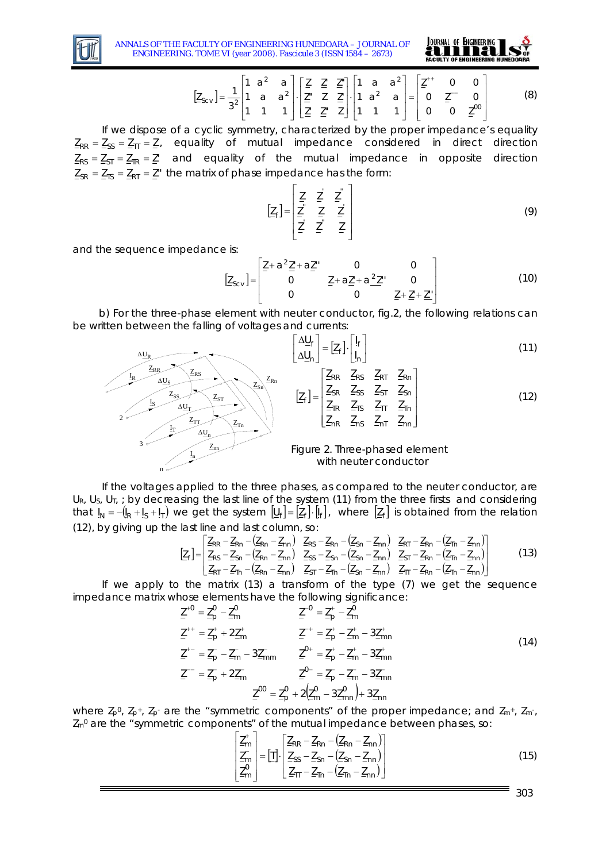

ANNALS OF THE FACULTY OF ENGINEERING HUNEDOARA – JOURNAL OF ENGINEERING. TOME VI (year 2008). Fascicule 3 (ISSN 1584 – 2673)



$$
[\underline{Z}_{SCV}] = \frac{1}{3^2} \begin{bmatrix} 1 & a^2 & a \\ 1 & a & a^2 \\ 1 & 1 & 1 \end{bmatrix} \cdot \begin{bmatrix} \underline{Z} & \underline{Z}^* \\ \underline{Z}^* & Z & \underline{Z}^* \\ \underline{Z}^* & \underline{Z}^* & \underline{Z} \end{bmatrix} \cdot \begin{bmatrix} 1 & a & a^2 \\ 1 & a^2 & a \\ 1 & 1 & 1 \end{bmatrix} = \begin{bmatrix} \underline{Z}^{++} & 0 & 0 \\ 0 & \underline{Z}^{--} & 0 \\ 0 & 0 & \underline{Z}^{00} \end{bmatrix}
$$
(8)

If we dispose of a cyclic symmetry, characterized by the proper impedance's equality  $Z_{RR} = Z_{SS} = Z_{TT} = Z$ , equality of mutual impedance considered in direct direction  $Z_{RS} = Z_{ST} = Z_{TR} = Z'$  and equality of the mutual impedance in opposite direction  $Z_{SR} = Z_{TS} = Z_{RT} = Z''$  the matrix of phase impedance has the form:

$$
\left[\underline{Z}_{f}\right] = \begin{bmatrix} \underline{Z} & \underline{Z} & \underline{Z}^{\top} \\ \underline{Z} & \underline{Z} & \underline{Z} \\ \underline{Z} & \underline{Z} & \underline{Z} \end{bmatrix}
$$
\n(9)

and the sequence impedance is:

$$
\left[\underline{Z}_{SCV}\right] = \begin{bmatrix} \underline{Z} + a^2 \underline{Z}' + a \underline{Z}'' & 0 & 0\\ 0 & \underline{Z} + a \underline{Z}' + a^2 \underline{Z}'' & 0\\ 0 & 0 & \underline{Z} + \underline{Z}' + \underline{Z}'' \end{bmatrix}
$$
(10)

b) For the three-phase element with neuter conductor, fig.2, the following relations can be written between the falling of voltages and currents:



If the voltages applied to the three phases, as compared to the neuter conductor, are UR, Us, U<sub>T</sub>, ; by decreasing the last line of the system (11) from the three firsts and considering that  $I_N = -I_R + I_S + I_I$ ) we get the system  $I_U = [Z_f] \cdot [I_f]$ , where  $[Z_f]$  is obtained from the relation (12), by giving up the last line and last column, so:

$$
\begin{bmatrix} Z_{FR} - Z_{Rn} - (Z_{Rn} - Z_{nn}) & Z_{RS} - Z_{Rn} - (Z_{Sn} - Z_{nn}) & Z_{RT} - Z_{Rn} - (Z_{In} - Z_{nn}) \\ Z_{RS} - Z_{Sn} - (Z_{Rn} - Z_{nn}) & Z_{SS} - Z_{Sn} - (Z_{Sn} - Z_{nn}) & Z_{ST} - Z_{Rn} - (Z_{In} - Z_{nn}) \\ Z_{RT} - Z_{In} - (Z_{Rn} - Z_{nn}) & Z_{ST} - Z_{In} - (Z_{Sn} - Z_{nn}) & Z_{IT} - Z_{Rn} - (Z_{In} - Z_{nn}) \end{bmatrix}
$$
(13)

If we apply to the matrix (13) a transform of the type (7) we get the sequence impedance matrix whose elements have the following significance:

$$
\underline{Z}^{+0} = \underline{Z}_{p}^{0} - \underline{Z}_{m}^{0} \qquad \underline{Z}^{-0} = \underline{Z}_{p}^{+} - \underline{Z}_{m}^{0}
$$
  
\n
$$
\underline{Z}^{++} = \underline{Z}_{p}^{+} + 2\underline{Z}_{m}^{+} \qquad \underline{Z}^{-+} = \underline{Z}_{p}^{+} - \underline{Z}_{m}^{+} - 3\underline{Z}_{mn}^{+}
$$
  
\n
$$
\underline{Z}^{+-} = \underline{Z}_{p}^{-} - \underline{Z}_{m}^{-} - 3\underline{Z}_{mm}^{-} \qquad \underline{Z}^{0+} = \underline{Z}_{p}^{+} - \underline{Z}_{m}^{+} - 3\underline{Z}_{mn}^{+}
$$
  
\n
$$
\underline{Z}^{--} = \underline{Z}_{p}^{-} + 2\underline{Z}_{m}^{-} \qquad \underline{Z}^{0-} = \underline{Z}_{p}^{-} - \underline{Z}_{m}^{-} - 3\underline{Z}_{mn}^{-}
$$
  
\n
$$
\underline{Z}^{00} = \underline{Z}_{p}^{0} + 2(\underline{Z}_{m}^{0} - 3\underline{Z}_{mn}^{0}) + 3\underline{Z}_{nn}
$$
  
\n(14)

where  $Z_p^0$ ,  $Z_p^+$ ,  $Z_p^-$  are the "symmetric components" of the proper impedance; and  $Z_m^+$ ,  $Z_m^-$ ,  $Z<sub>m</sub>0$  are the "symmetric components" of the mutual impedance between phases, so:

$$
\begin{bmatrix} \frac{Z_{m}^{+}}{Z_{m}^{-}} \\ \frac{Z_{m}^{-}}{Z_{m}^{-}} \end{bmatrix} = \begin{bmatrix} \frac{1}{2} \left[ \frac{Z_{RR} - Z_{Rn} - (Z_{Rn} - Z_{nn})}{Z_{SR} - (Z_{Sn} - Z_{nn})} \right] \\ \frac{Z_{m}^{-}}{Z_{m}^{-}} \frac{Z_{1n} - (Z_{1n} - Z_{nn})}{Z_{1n}^{-}} \end{bmatrix}
$$
(15)

303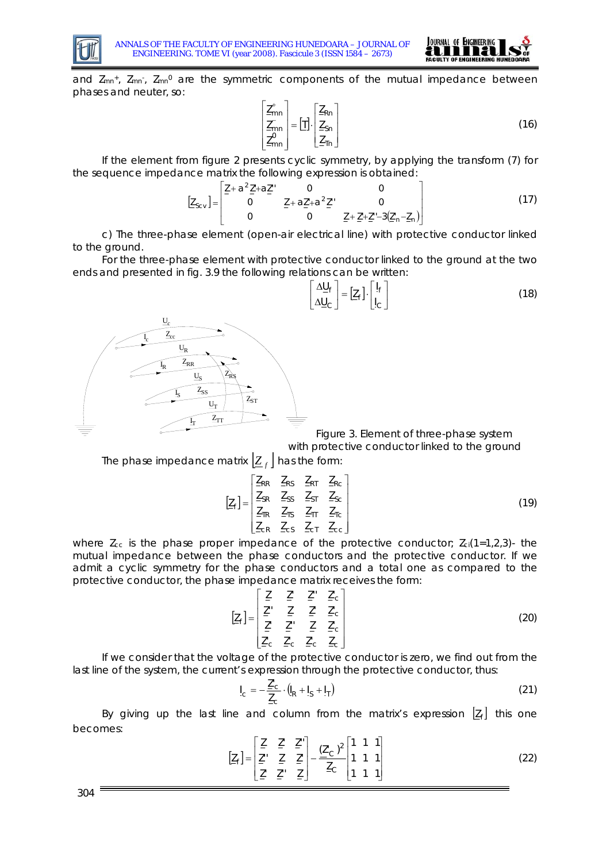



and  $Z_{mn^+}$ ,  $Z_{mn^+}$ ,  $Z_{mn^0}$  are the symmetric components of the mutual impedance between phases and neuter, so:

$$
\begin{bmatrix} \underline{Z}_{mn}^{+} \\ \underline{Z}_{mn}^{-} \\ \underline{Z}_{mn}^{0} \end{bmatrix} = [\underline{I}]. \begin{bmatrix} \underline{Z}_{Rn} \\ \underline{Z}_{Sn} \\ \underline{Z}_{Tn} \end{bmatrix}
$$
 (16)

If the element from figure 2 presents cyclic symmetry, by applying the transform (7) for the sequence impedance matrix the following expression is obtained:

$$
[\underline{Z}_{Scv}] = \begin{bmatrix} \underline{Z} + a^2 \underline{Z}' + a \underline{Z}' & 0 & 0 \\ 0 & \underline{Z} + a \underline{Z}' + a^2 \underline{Z}' & 0 \\ 0 & 0 & \underline{Z} + \underline{Z}' + \underline{Z}' - 3(\underline{Z}'_n - \underline{Z}_n) \end{bmatrix}
$$
(17)

c) The three-phase element (open-air electrical line) with protective conductor linked to the ground.

For the three-phase element with protective conductor linked to the ground at the two ends and presented in fig. 3.9 the following relations can be written:

$$
\begin{bmatrix} \Delta \underline{U}_{f} \\ \Delta \underline{U}_{C} \end{bmatrix} = [\underline{Z}_{f}] \cdot \begin{bmatrix} I_{f} \\ I_{C} \end{bmatrix}
$$
 (18)



Figure 3. Element of three-phase system

 with protective conductor linked to the ground The phase impedance matrix  $|Z_f|$  has the form:

$$
\begin{bmatrix} Z_{\rm f} \end{bmatrix} = \begin{bmatrix} Z_{\rm RR} & Z_{\rm RS} & Z_{\rm RT} & Z_{\rm RC} \\ Z_{\rm SR} & Z_{\rm SS} & Z_{\rm ST} & Z_{\rm SC} \\ Z_{\rm TR} & Z_{\rm TS} & Z_{\rm IT} & Z_{\rm TC} \\ Z_{\rm CR} & Z_{\rm CS} & Z_{\rm CT} & Z_{\rm CC} \end{bmatrix}
$$
(19)

where  $Z_{\rm cc}$  is the phase proper impedance of the protective conductor;  $Z_{\rm ci}(1=1,2,3)$ - the mutual impedance between the phase conductors and the protective conductor. If we admit a cyclic symmetry for the phase conductors and a total one as compared to the protective conductor, the phase impedance matrix receives the form:

$$
\begin{bmatrix} \underline{Z}_{\text{f}} \end{bmatrix} = \begin{bmatrix} \underline{Z} & \underline{Z}' & \underline{Z}' & \underline{Z}' & \underline{Z}'_{\text{c}} \\ \underline{Z}'' & \underline{Z} & \underline{Z}' & \underline{Z}'_{\text{c}} \\ \underline{Z}' & \underline{Z}'' & \underline{Z} & \underline{Z}'_{\text{c}} \\ \underline{Z}'_{\text{c}} & \underline{Z}'_{\text{c}} & \underline{Z}'_{\text{c}} & \underline{Z}_{\text{c}} \end{bmatrix}
$$
 (20)

If we consider that the voltage of the protective conductor is zero, we find out from the last line of the system, the current's expression through the protective conductor, thus:

$$
I_{\rm c} = -\frac{Z'_{\rm c}}{Z_{\rm c}} \cdot (I_{\rm R} + I_{\rm s} + I_{\rm T})
$$
 (21)

By giving up the last line and column from the matrix's expression  $\left[\underline{Z}_{f}\right]$  this one becomes:

$$
\begin{bmatrix} \underline{Z}_f \end{bmatrix} = \begin{bmatrix} \underline{Z} & \underline{Z}' & \underline{Z}'' \\ \underline{Z}'' & \underline{Z} & \underline{Z}' \\ \underline{Z}' & \underline{Z}'' & \underline{Z} \end{bmatrix} - \frac{(\underline{Z}'_C)^2}{\underline{Z}_C} \begin{bmatrix} 1 & 1 & 1 \\ 1 & 1 & 1 \\ 1 & 1 & 1 \end{bmatrix}
$$
 (22)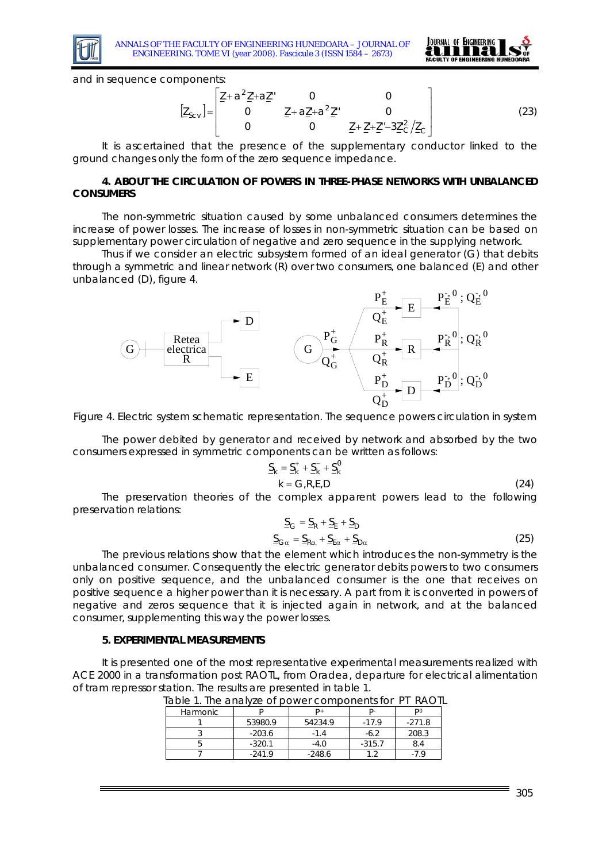



and in sequence components:

$$
\left[\underline{Z}_{Scv}\right] = \begin{bmatrix} \underline{Z} + a^2 \underline{Z}' + a \underline{Z}'' & 0 & 0 \\ 0 & \underline{Z} + a \underline{Z}' + a^2 \underline{Z}'' & 0 \\ 0 & 0 & \underline{Z} + \underline{Z}' + \underline{Z}'' - 3 \underline{Z}'^2 / \underline{Z}_C \end{bmatrix}
$$
(23)

It is ascertained that the presence of the supplementary conductor linked to the ground changes only the form of the zero sequence impedance.

#### **4. ABOUT THE CIRCULATION OF POWERS IN THREE-PHASE NETWORKS WITH UNBALANCED CONSUMERS**

The non-symmetric situation caused by some unbalanced consumers determines the increase of power losses. The increase of losses in non-symmetric situation can be based on supplementary power circulation of negative and zero sequence in the supplying network.

Thus if we consider an electric subsystem formed of an ideal generator (G) that debits through a symmetric and linear network (R) over two consumers, one balanced (E) and other unbalanced (D), figure 4.



Figure 4. Electric system schematic representation. The sequence powers circulation in system

The power debited by generator and received by network and absorbed by the two consumers expressed in symmetric components can be written as follows:

$$
\frac{S_k}{k} = \frac{S_k^+}{S_k} + \frac{S_k^-}{S_k}
$$
\n
$$
k = G, R, E, D \tag{24}
$$

The preservation theories of the complex apparent powers lead to the following preservation relations:

$$
\underline{S}_{G} = \underline{S}_{R} + \underline{S}_{E} + \underline{S}_{D}
$$
  

$$
\underline{S}_{G\alpha} = \underline{S}_{R\alpha} + \underline{S}_{E\alpha} + \underline{S}_{D\alpha}
$$
 (25)

The previous relations show that the element which introduces the non-symmetry is the unbalanced consumer. Consequently the electric generator debits powers to two consumers only on positive sequence, and the unbalanced consumer is the one that receives on positive sequence a higher power than it is necessary. A part from it is converted in powers of negative and zeros sequence that it is injected again in network, and at the balanced consumer, supplementing this way the power losses.

#### **5. EXPERIMENTAL MEASUREMENTS**

It is presented one of the most representative experimental measurements realized with ACE 2000 in a transformation post RAOTL, from Oradea, departure for electrical alimentation of tram repressor station. The results are presented in table 1.

|          | <u>able it the analyze of power components for in INAO it</u> |          |          |          |  |
|----------|---------------------------------------------------------------|----------|----------|----------|--|
| Harmonic |                                                               |          |          | Do       |  |
|          | 53980.9                                                       | 54234.9  | $-17.9$  | $-271.8$ |  |
|          | $-203.6$                                                      | $-1.4$   | $-6.2$   | 208.3    |  |
|          | $-320.1$                                                      | $-4.0$   | $-315.7$ | 8.4      |  |
|          | $-241.9$                                                      | $-248.6$ |          |          |  |

Table 1. The analyze of power components for PT RAOTL